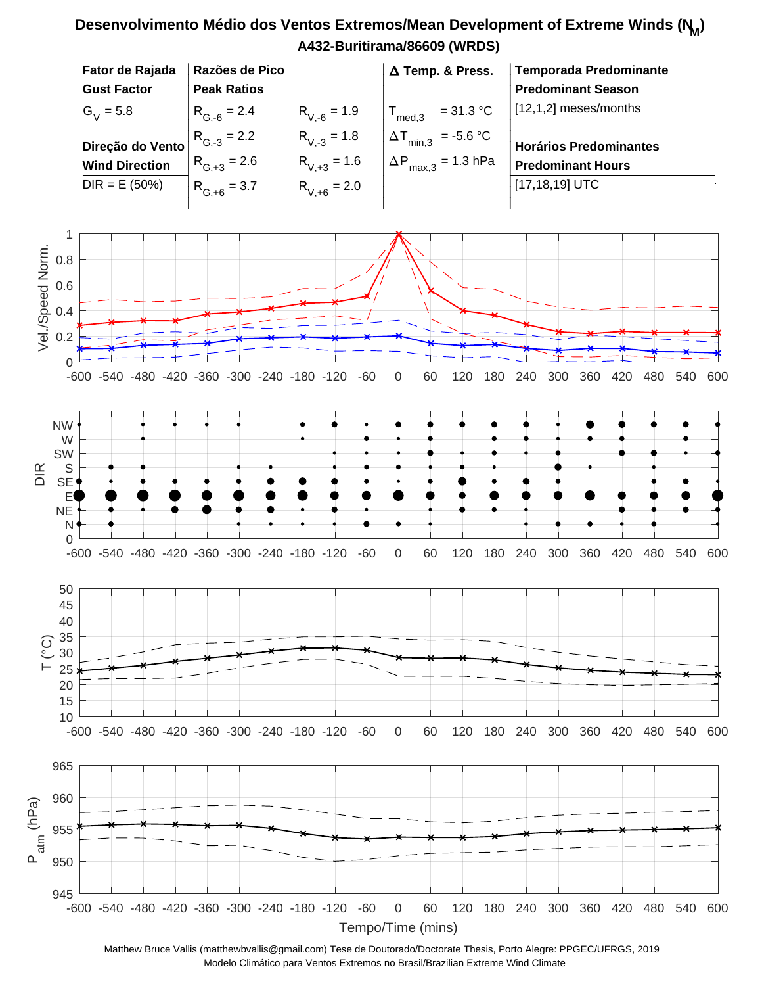## **A432-Buritirama/86609 (WRDS) Fator de Rajada** │Razões de Pico │ △ Temp. & Press. │ **Razões de Pico Temporada Predominante** | | | **Gust Factor Predominant Season** | | | **Peak Ratios** | | |  $T_{\text{med,3}}$  = 31.3 °C [12,1,2] meses/months  $R_{V,-6} = 1.9$  $G_V^{}$  = 5.8  $R_{G, -6} = 2.4$   $R_{V, -6} = 1.9$   $T_{\text{med,3}} = 31.3 \text{ °C}$  $\begin{bmatrix} 0, -0 \\ 0, -1 \end{bmatrix}$   $\begin{bmatrix} 0, -0 \\ 0, -1 \end{bmatrix}$  $| R_{0.2} = 2.2$   $R_{V,2} = 1.8$   $|\Delta T_{min,2}| = 5.6 \degree C$  $R_{G-3} = 2.2$  $R_{V-3} = 1.8$  $\begin{vmatrix} R_{G,3} = 2.2 & R_{V,3} = 1.8 & \Delta T_{min,3} = -5.6 \text{ °C} \end{vmatrix}$ **Direção do Vento Horários Predominantes**  $| R_ = 2.6$   $R_ = 1.6$   $|\Delta P = 1.3$  hPa  $R_{G, +3} = 2.6$  $R_{V,+3} = 1.6$  $\left| R_{G, +3} = 2.6 \right| R_{V, +3} = 1.6 \left| \Delta P_{\text{max},3} = 1.3 \text{ hPa} \right|$ **Wind Direction Predominant Hours**  $\vert$  p  $\vert$  p  $\vert$  p  $\vert$  n  $\vert$  n  $\vert$   $\vert$  n  $\vert$  n  $\vert$  n  $\vert$  n  $\vert$  n  $\vert$  n  $\vert$  n  $\vert$  n  $\vert$  n  $\vert$  n  $\vert$  n  $\vert$  n  $\vert$  n  $\vert$  n  $\vert$  n  $\vert$  n  $\vert$  n  $\vert$  n  $\vert$  n  $\vert$  n  $\vert$  n  $\vert$  n  $\vert$  n  $\vert$  n  $\vert$  n  $\vert$  n  $DIR = E (50%)$ [17,18,19] UTC  $\begin{vmatrix} R_{G,+6} = 3.7 & R_{V,+6} = 2.0 \end{vmatrix}$  $R_{V,+6} = 2.0$ | | | 1 Vel./Speed Norm. Vel./Speed Norm. 0.8 0.6 0.4 0.2 0 -600 -540 -480 -420 -360 -300 -240 -180 -120 -60 0 60 120 180 240 300 360 420 480 540 600 NW W SW S DIR **SE** E NE N 0 -600 -540 -480 -420 -360 -300 -240 -180 -120 -60 0 60 120 180 240 300 360 420 480 540 600 50 45 40 35  $\widetilde{C}$ 30 25 20 15 10 -600 -540 -480 -420 -360 -300 -240 -180 -120 -60 0 60 120 180 240 300 360 420 480 540 600 965 960 Patm (hPa) 955 950 945 -600 -540 -480 -420 -360 -300 -240 -180 -120 -60 0 60 120 180 240 300 360 420 480 540 600

**Desenvolvimento Médio dos Ventos Extremos/Mean Development of Extreme Winds (N<sup>M</sup> )**

Tempo/Time (mins) Matthew Bruce Vallis (matthewbvallis@gmail.com) Tese de Doutorado/Doctorate Thesis, Porto Alegre: PPGEC/UFRGS, 2019 Modelo Climático para Ventos Extremos no Brasil/Brazilian Extreme Wind Climate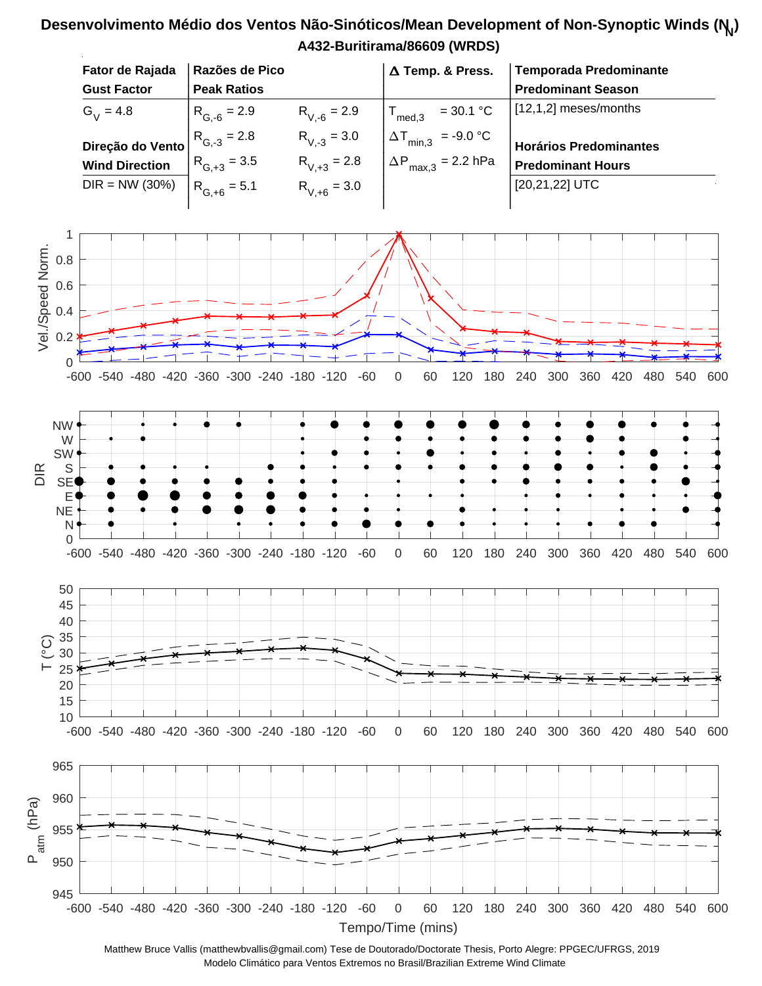## **A432-Buritirama/86609 (WRDS) Desenvolvimento Médio dos Ventos Não-Sinóticos/Mean Development of Non-Synoptic Winds (N<sup>N</sup> )**



Matthew Bruce Vallis (matthewbvallis@gmail.com) Tese de Doutorado/Doctorate Thesis, Porto Alegre: PPGEC/UFRGS, 2019 Modelo Climático para Ventos Extremos no Brasil/Brazilian Extreme Wind Climate